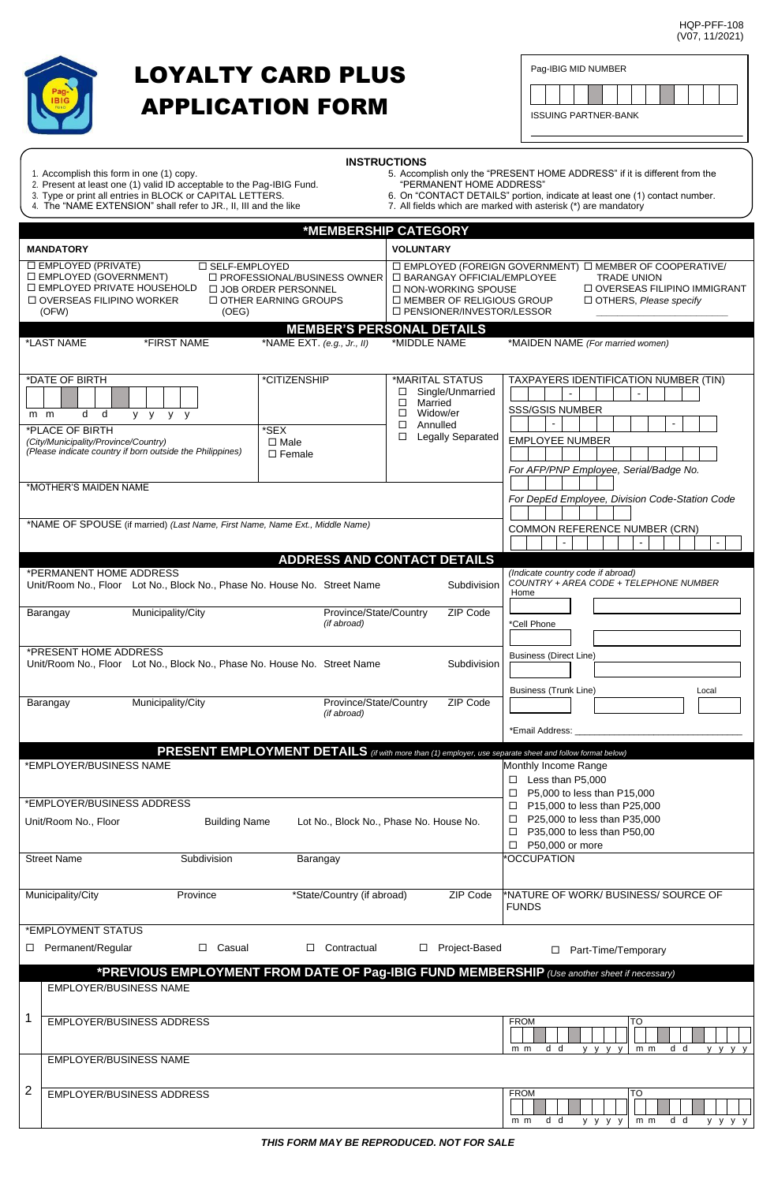HQP-PFF-108 (V07, 11/2021)



## LOYALTY CARD PLUS APPLICATION FORM

|                             |  | Pag-IBIG MID NUMBER |  |  |  |  |  |  |  |  |  |  |  |  |  |
|-----------------------------|--|---------------------|--|--|--|--|--|--|--|--|--|--|--|--|--|
|                             |  |                     |  |  |  |  |  |  |  |  |  |  |  |  |  |
| <b>ISSUING PARTNER-BANK</b> |  |                     |  |  |  |  |  |  |  |  |  |  |  |  |  |

| <b>INSTRUCTIONS</b> |  |  |  |
|---------------------|--|--|--|
|                     |  |  |  |

- 1. Accomplish this form in one (1) copy. 5. Accomplish only the "PRESENT HOME ADDRESS" if it is different from the 2. Present at least one (1) valid ID acceptable to the Pag-IBIG Fund. "PERMANENT HOME ADDRESS"
- 
- 4. The "NAME EXTENSION" shall refer to JR., II, III and the like 7. All fields which are marked with asterisk (\*) are mandatory
- 3. Type or print all entries in BLOCK or CAPITAL LETTERS. 6. On "CONTACT DETAILS" portion, indicate at least one (1) contact number.
	-

|                                                                                                                                  |                                                                              |                                                                                                         | *MEMBERSHIP CATEGORY                                                                                                               |                                                                                                                                                            |
|----------------------------------------------------------------------------------------------------------------------------------|------------------------------------------------------------------------------|---------------------------------------------------------------------------------------------------------|------------------------------------------------------------------------------------------------------------------------------------|------------------------------------------------------------------------------------------------------------------------------------------------------------|
| <b>MANDATORY</b>                                                                                                                 |                                                                              |                                                                                                         | <b>VOLUNTARY</b>                                                                                                                   |                                                                                                                                                            |
| □ EMPLOYED (PRIVATE)<br>$\Box$ EMPLOYED (GOVERNMENT)<br>□ EMPLOYED PRIVATE HOUSEHOLD<br>$\Box$ OVERSEAS FILIPINO WORKER<br>(OFW) | □ SELF-EMPLOYED<br>(OEG)                                                     | $\Box$ PROFESSIONAL/BUSINESS OWNER<br>□ JOB ORDER PERSONNEL<br>$\Box$ OTHER EARNING GROUPS              | □ BARANGAY OFFICIAL/EMPLOYEE<br>$\Box$ NON-WORKING SPOUSE<br>$\Box$ MEMBER OF RELIGIOUS GROUP<br>□ PENSIONER/INVESTOR/LESSOR       | $\Box$ EMPLOYED (FOREIGN GOVERNMENT) $\Box$ MEMBER OF COOPERATIVE/<br><b>TRADE UNION</b><br>□ OVERSEAS FILIPINO IMMIGRANT<br>$\Box$ OTHERS, Please specify |
|                                                                                                                                  |                                                                              |                                                                                                         | <b>MEMBER'S PERSONAL DETAILS</b>                                                                                                   |                                                                                                                                                            |
| *LAST NAME                                                                                                                       | *FIRST NAME                                                                  | *NAME EXT. $(e.g., Jr., II)$                                                                            | *MIDDLE NAME                                                                                                                       | *MAIDEN NAME (For married women)                                                                                                                           |
| *DATE OF BIRTH<br>d d<br>$m$ $m$<br>*PLACE OF BIRTH<br>(City/Municipality/Province/Country)                                      | y y y y<br>(Please indicate country if born outside the Philippines)         | *CITIZENSHIP<br>*SEX<br>$\Box$ Male<br>$\Box$ Female                                                    | *MARITAL STATUS<br>Single/Unmarried<br>□<br>$\Box$<br>Married<br>$\Box$ Widow/er<br>Annulled<br>□<br><b>Legally Separated</b><br>□ | TAXPAYERS IDENTIFICATION NUMBER (TIN)<br>$\sim$<br><b>SSS/GSIS NUMBER</b><br><b>EMPLOYEE NUMBER</b><br>For AFP/PNP Employee, Serial/Badge No.              |
| *MOTHER'S MAIDEN NAME                                                                                                            |                                                                              |                                                                                                         |                                                                                                                                    | For DepEd Employee, Division Code-Station Code                                                                                                             |
|                                                                                                                                  | *NAME OF SPOUSE (if married) (Last Name, First Name, Name Ext., Middle Name) |                                                                                                         |                                                                                                                                    | <b>COMMON REFERENCE NUMBER (CRN)</b><br>$\Box$<br>$\omega$                                                                                                 |
|                                                                                                                                  |                                                                              |                                                                                                         | <b>ADDRESS AND CONTACT DETAILS</b>                                                                                                 |                                                                                                                                                            |
| *PERMANENT HOME ADDRESS                                                                                                          | Unit/Room No., Floor Lot No., Block No., Phase No. House No. Street Name     |                                                                                                         | Subdivision                                                                                                                        | (Indicate country code if abroad)<br>COUNTRY + AREA CODE + TELEPHONE NUMBER<br>Home                                                                        |
| Barangay                                                                                                                         | Municipality/City                                                            | Province/State/Country<br>(if abroad)                                                                   | ZIP Code                                                                                                                           | *Cell Phone                                                                                                                                                |
| *PRESENT HOME ADDRESS                                                                                                            | Unit/Room No., Floor Lot No., Block No., Phase No. House No. Street Name     |                                                                                                         | Subdivision                                                                                                                        | <b>Business (Direct Line)</b>                                                                                                                              |
| Barangay                                                                                                                         | Municipality/City                                                            | Province/State/Country<br>(if abroad)                                                                   | ZIP Code                                                                                                                           | Business (Trunk Line)<br>Local<br>*Email Address:                                                                                                          |
|                                                                                                                                  |                                                                              | PRESENT EMPLOYMENT DETAILS (if with more than (1) employer, use separate sheet and follow format below) |                                                                                                                                    |                                                                                                                                                            |
| *EMPLOYER/BUSINESS NAME                                                                                                          |                                                                              |                                                                                                         |                                                                                                                                    | Monthly Income Range                                                                                                                                       |
|                                                                                                                                  |                                                                              |                                                                                                         |                                                                                                                                    | $\Box$ Less than P5,000                                                                                                                                    |
| *EMPLOYER/BUSINESS ADDRESS                                                                                                       |                                                                              |                                                                                                         |                                                                                                                                    | $\Box$ P5,000 to less than P15,000<br>$\Box$ P15,000 to less than P25,000                                                                                  |
| Unit/Room No., Floor                                                                                                             | <b>Building Name</b>                                                         |                                                                                                         | Lot No., Block No., Phase No. House No.                                                                                            | □ P25,000 to less than P35,000<br>$\Box$ P35,000 to less than P50,00<br>$\Box$ P50,000 or more                                                             |
| <b>Street Name</b>                                                                                                               | Subdivision                                                                  | Barangay                                                                                                |                                                                                                                                    | *OCCUPATION                                                                                                                                                |
| Municipality/City                                                                                                                | Province                                                                     | *State/Country (if abroad)                                                                              | ZIP Code                                                                                                                           | *NATURE OF WORK/ BUSINESS/ SOURCE OF<br><b>FUNDS</b>                                                                                                       |
| *EMPLOYMENT STATUS                                                                                                               |                                                                              |                                                                                                         |                                                                                                                                    |                                                                                                                                                            |
| Permanent/Regular<br>□                                                                                                           | $\Box$ Casual                                                                | Contractual                                                                                             | Project-Based<br>$\Box$                                                                                                            | Part-Time/Temporary<br>□                                                                                                                                   |
| <b>EMPLOYER/BUSINESS NAME</b>                                                                                                    |                                                                              |                                                                                                         |                                                                                                                                    | *PREVIOUS EMPLOYMENT FROM DATE OF Pag-IBIG FUND MEMBERSHIP (Use another sheet if necessary)                                                                |
| 1                                                                                                                                | <b>EMPLOYER/BUSINESS ADDRESS</b>                                             |                                                                                                         |                                                                                                                                    | FROM<br>TO                                                                                                                                                 |
| <b>EMPLOYER/BUSINESS NAME</b>                                                                                                    |                                                                              |                                                                                                         |                                                                                                                                    | d d<br>d d<br>$m$ $m$<br>y y y y<br>$m$ $m$<br>y y y y                                                                                                     |
| $\overline{2}$                                                                                                                   | EMPLOYER/BUSINESS ADDRESS                                                    |                                                                                                         |                                                                                                                                    | TO<br><b>FROM</b>                                                                                                                                          |
|                                                                                                                                  |                                                                              |                                                                                                         |                                                                                                                                    | d d<br>d d<br>$m$ $m$<br>$m$ $m$<br>y y y y<br>y y y y                                                                                                     |